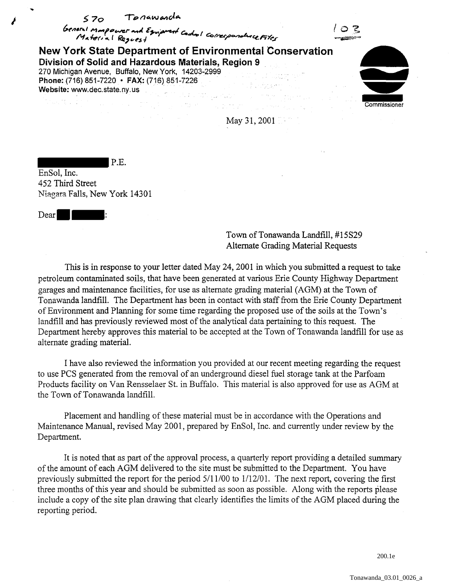

EnSol, Inc. 452 Third Street Niagara Falls, New York 14301

P.E.

Dear II

Town of Tonawanda Landfill, #15S29 Alternate Grading Material Requests

This is in response to your letter dated May 24,2001 in which you submitted a request to take petroleum contaminated soils, that have been generated at various Erie County Highway Department garages and maintenance facilities, for use as alternate grading material (AGM) at the Town of Tonawanda landfill. The Department has been in contact with staff from the Erie County Department of Environment and Planning for some time regarding the proposed use of the soils at the Town's landfill and has previously reviewed most of the analytical data pertaining to this request. The Department hereby approves this material to be accepted at the Town of Tonawanda landfill for use as alternate grading material.

I have also reviewed the information you provided at our recent meeting regarding the request to use PCS generated from the removal of an underground diesel fuel storage tank at the Parfoam Products facility on Van Rensselaer St. in Buffalo. This material is also approved for use as AGM at the Town of Tonawanda landfill.

Placement and handling of these material must be in accordance with the Operations and Maintenance Manual, revised May 2001, prepared by EnSol, Inc. and currently under review by the Department.

It is noted that as part of the approval process, a quarterly report providing a detailed summary of the amount of each AGM delivered to the site must be submitted to the Department. You have previously submitted the report for the period 5/11/00 to 1/12/01. The next report, covering the first three months of this year and should be submitted as soon as possible. Along with the reports please include a copy of the site plan drawing that clearly identifies the limits of the AGM placed during the reporting period.